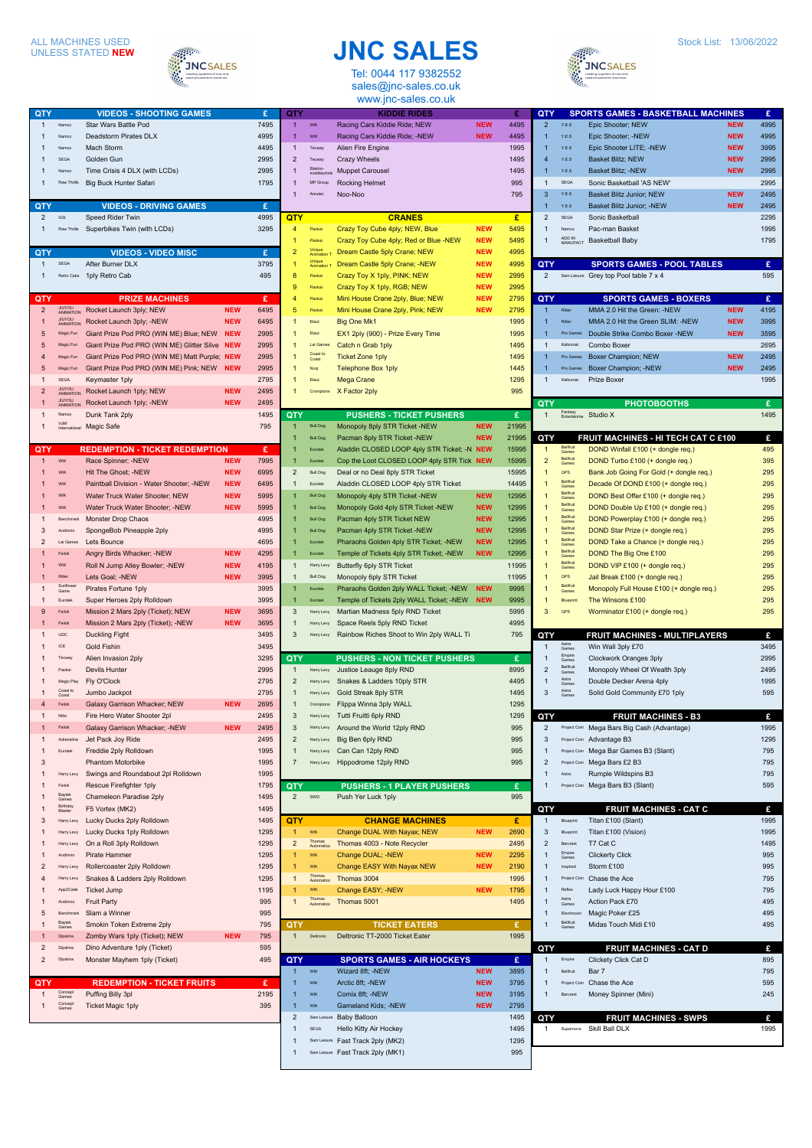## ALL MACHINES USED UNLESS STATED **NEW**



**QTY VIDEOS - SHOOTING GAMES £** 1 Namco Star Wars Battle Pod 7495 1 Namco Deadstorm Pirates DLX 4995 1 Namco Mach Storm 4495

## **JNC SALES** Tel: 0044 117 9382552

sales@jnc-sales.co.uk www.jnc-sales.co.uk

1 WIK Racing Cars Kiddie Ride: NEW **NEW** 4495 1 WIK Racing Cars Kiddie Ride; -NEW **NEW** 4495 1 Technik Alien Fire Engine

**QTY KIDDIE RIDES £**



1 SEGA Golden Gun 2995 1 Namco Time Crisis 4 DLX (with LCDs) 2995 Raw Thrills Big Buck Hunter Safari 1795 **QTY VIDEOS - DRIVING GAMES £**<br>2 GS Speed Rider Twin **4995 2 ISS Speed Rider Twin**<br>Align Speed Rider Twin 1 Raw Thrills Superbikes Twin (with LCDs) 3295 **QTY VIDEOS - VIDEO MISC £** SEGA After Burner DLX 3795 1 Retro Cabs 1 ply Retro Cab 495 **PRIZE MACHINES E**<br> **EXAMPLE MACHINES EXAMPLE MEW** 6495 2 **JIUYOU Rocket Launch 3ply; NEW <b>NEW** 6495 1 **ANIMATION** Rocket Launch 3ply; -NEW **NEW** 6495 5 Magic Fun Giant Prize Pod PRO (WIN ME) Blue; NEW **NEW** 2995 5 Magic Fun Giant Prize Pod PRO (WIN ME) Glitter Silve **NEW** 2995 Magic Fun Giant Prize Pod PRO (WIN ME) Matt Purple; **NEW** 2995 5 Magic Fun Giant Prize Pod PRO (WIN ME) Pink; NEW **NEW** 2995 **EGA** Keymaster 1ply 2795<br> **1996**<br> **ANIMATION Rocket Launch 1ply; NEW NEW 2495** 2 **JIUYOU Rocket Launch 1ply; NEW <b>NEW** 2495 1 JIUYOU **Rocket Launch 1ply; -NEW <b>NEW** 2495 1 Namco Dunk Tank 2ply 1495 1 Magic Safe 795 795 VdW<br>Internati **EDEMPTION - TICKET REDEMPTION 6 PROFILM BY**<br>Race Spinner: -NEW **REDEMPTION** REW 7995 1 Wik Race Spinner: -NEW 1 WIK Hit The Ghost: -NEW **NEW** 6995 1 WIK Paintball Division - Water Shooter; -NEW **NEW** 6495 **WIK Water Truck Water Shooter: NEW 1995** 1 WIK Water Truck Water Shooter; -NEW **NEW** 5995 1995 Benchmark Monster Drop Chaos 3 Andimiro SpongeBob Pineapple 2ply 1995 2 Lai Games Lets Bounce 4695 1 Feiloli Angry Birds Whacker; -NEW **NEW** 4295 WIK Roll N Jump Alley Bowler; -NEW **NEW** 4195 1 Ritter Lets Goal; -NEW **NEW** 3995 1 Pirates Fortune 1ply 3995 Sunflow<br>Game Eurotek Super Heroes 2ply Rolldown 3995 9 Feiloli Mission 2 Mars 2ply (Ticket); NEW **NEW** 3695 1 Feiloli Mission 2 Mars 2ply (Ticket); -NEW **NEW** 3695 Inc Duckling Fight 3495 **1 ICE** Gold Fishin 3495 1 Tecway Alien Invasion 2ply 3295 1 Paokai Devils Hunter 2995 Magic Play Fly O'Clock 2795<br>Coast **Jumbo Jackpot 2795**<br>Coast 2795 -<br>Jumbo Jackpot Coast to<br>Coast 4 Feiloli Galaxy Garrison Whacker; NEW **NEW** 2695 1 Fire Hero Water Shooter 2pl<br>
1 2495<br>
1 Galaxy Garrison Whacker: -NEW 2495 1 Feiloli Galaxy Garrison Whacker; -NEW **NEW** Adrenaline Jet Pack Joy Ride 2495 1 Eurotek Freddie 2ply Rolldown 1995 3 **Phantom Motorbike** 1995 1 Harry Levy Swings and Roundabout 2pl Rolldown 1995 Felloli Rescue Firefighter 1ply<br>
<sub>Bantel</sub> Chameleon Paradise 2ply 1795<br> **Games** Chameleon Paradise 2ply 1495 1 Baytek Chameleon Paradise 2ply Games 1 Birthday F5 Vortex (MK2) 1495 Blaster 3 Harry Levy Lucky Ducks 2ply Rolldown 1495 1 Harry Levy Lucky Ducks 1ply Rolldown 1295 1 Harry Levy On a Roll 3ply Rolldown 1295 1 Andimiro Pirate Hammer 1295 2 Harry Lewy Rollercoaster 2ply Rolldown 1295 4 Harry Levy Snakes & Ladders 2ply Rolldown 1295 1 App2Cade Ticket Jump 1195 1 Andimiro Fruit Party 995 5 Benchmark Slam a Winner 995 1 Baytek Smokin Token Extreme 2ply  $2p$ Games 1 Dipalma Zomby Wars 1ply (Ticket); NEW **NEW** 795 2 Dipalma Dino Adventure 1ply (Ticket) 595

| $\mathfrak{p}$ | Dipalma          | Monster Mayhem 1ply (Ticket)      | 495  |
|----------------|------------------|-----------------------------------|------|
| QTY            |                  | <b>REDEMPTION - TICKET FRUITS</b> | £    |
| 1              | Concept<br>Games | Puffing Billy 3pl                 | 2195 |
| 1              | Concept<br>Games | <b>Ticket Magic 1ply</b>          | 395  |
|                |                  |                                   |      |

| $\overline{2}$                 | Tecway                   | <b>Crazy Wheels</b>                      |            | 1495  |   |
|--------------------------------|--------------------------|------------------------------------------|------------|-------|---|
| $\overline{1}$                 | Elektro-<br>mobiltechnik | <b>Muppet Carousel</b>                   |            | 1495  |   |
| 1                              | MP Group                 | Rocking Helmet                           |            | 995   |   |
| $\overline{1}$                 | Amutec                   | Noo-Noo                                  |            | 795   |   |
|                                |                          |                                          |            |       |   |
| QTY                            |                          | <b>CRANES</b>                            |            | £     |   |
| 4                              | Pankai                   | Crazy Toy Cube 4ply; NEW, Blue           | <b>NEW</b> | 5495  |   |
| 1                              | Paokai                   | Crazy Toy Cube 4ply; Red or Blue -NEW    | <b>NEW</b> | 5495  |   |
| $\overline{2}$                 | Unique<br>Animation T    | Dream Castle 5ply Crane; NEW             | <b>NEW</b> | 4995  |   |
|                                |                          |                                          |            |       |   |
| 1                              | Unique<br>Animation T    | Dream Castle 5ply Crane; -NEW            | <b>NEW</b> | 4995  | Q |
| 8                              | Paokai                   | Crazy Toy X 1ply, PINK; NEW              | <b>NEW</b> | 2995  |   |
| 9                              | Paokai                   | Crazy Toy X 1ply, RGB; NEW               | <b>NEW</b> | 2995  |   |
| 4                              | Pankai                   | Mini House Crane 2ply, Blue; NEW         | <b>NEW</b> | 2795  | Q |
| 5                              | Paokai                   | Mini House Crane 2ply, Pink; NEW         | <b>NEW</b> | 2795  |   |
| 1                              | Elaut                    | <b>Big One Mk1</b>                       |            | 1995  |   |
| 1                              | Elaut                    | EX1 2ply (900) - Prize Every Time        |            | 1995  |   |
| 1                              | Lai Games                | Catch n Grab 1ply                        |            | 1495  |   |
| 1                              | Coast to<br>Coast        | <b>Ticket Zone 1ply</b>                  |            | 1495  |   |
| 1                              | Noqi                     | <b>Telephone Box 1ply</b>                |            | 1445  |   |
| 1                              | Elaut                    | Mega Crane                               |            | 1295  |   |
| 1                              |                          |                                          |            | 995   |   |
|                                | Cromptons                | X Factor 2ply                            |            |       |   |
|                                |                          |                                          |            |       | Q |
| QTY                            |                          | <b>PUSHERS - TICKET PUSHERS</b>          |            | £     |   |
| 1                              | <b>Bull Dog</b>          | Monopoly 8ply STR Ticket -NEW            | <b>NEW</b> | 21995 |   |
| 1                              | <b>Bull Dog</b>          | Pacman 8ply STR Ticket -NEW              | <b>NEW</b> | 21995 | Q |
| 1                              | Eurotek                  | Aladdin CLOSED LOOP 4ply STR Ticket; -N  | <b>NEW</b> | 15995 |   |
| 1                              | Eurotek                  | Cop the Loot CLOSED LOOP 4ply STR Tick   | <b>NEW</b> | 15995 |   |
| $\overline{c}$                 | <b>Bull Dog</b>          | Deal or no Deal 8ply STR Ticket          |            | 15995 |   |
| $\overline{1}$                 | Eurotek                  | Aladdin CLOSED LOOP 4ply STR Ticket      |            | 14495 |   |
| 1                              | <b>Bull Dog</b>          | Monopoly 4ply STR Ticket -NEW            | <b>NEW</b> | 12995 |   |
| 1                              | <b>Bull Dog</b>          | Monopoly Gold 4ply STR Ticket -NEW       | <b>NEW</b> | 12995 |   |
| 1                              | <b>Bull Dog</b>          | Pacman 4ply STR Ticket NEW               | <b>NEW</b> | 12995 |   |
|                                |                          |                                          |            |       |   |
| 1                              | <b>Bull Dog</b>          | Pacman 4ply STR Ticket -NEW              | <b>NEW</b> | 12995 |   |
| 1                              | Eurotek                  | Pharaohs Golden 4ply STR Ticket; -NEW    | <b>NEW</b> | 12995 |   |
| 1                              | Eurotek                  | Temple of Tickets 4ply STR Ticket; -NEW  | <b>NEW</b> | 12995 |   |
| 1                              | Harry Levy               | <b>Butterfly 6ply STR Ticket</b>         |            | 11995 |   |
| 1                              | <b>Bull Dog</b>          | Monopoly 6ply STR Ticket                 |            | 11995 |   |
|                                |                          | Pharaohs Golden 2ply WALL Ticket; -NEW   | <b>NEW</b> | 9995  |   |
| 1                              | Eurotek                  |                                          |            |       |   |
| 1                              | Eurotek                  |                                          | <b>NEW</b> | 9995  |   |
|                                |                          | Temple of Tickets 2ply WALL Ticket; -NEW |            |       |   |
| 3                              | Harry Levy               | Martian Madness 5ply RND Ticket          |            | 5995  |   |
| $\overline{1}$                 | Harry Levy               | Space Reels 5ply RND Ticket              |            | 4995  |   |
| 3                              | Harry Levy               | Rainbow Riches Shoot to Win 2ply WALL Ti |            | 795   | Q |
|                                |                          |                                          |            |       |   |
| QTY                            |                          | <b>PUSHERS - NON TICKET PUSHERS</b>      |            | £     |   |
| 1                              | Harry Levy               | Justice Leauge 8ply RND                  |            | 8995  |   |
| $\overline{c}$                 | Harry Levy               | Snakes & Ladders 10ply STR               |            | 4495  |   |
| 1                              | Harry Levy               | Gold Streak 8ply STR                     |            | 1495  |   |
| 1                              | Cromptons                | Flippa Winna 3ply WALL                   |            | 1295  |   |
| 3                              | Harry Levy               | Tutti Fruitti 6ply RND                   |            | 1295  | Q |
| 3                              | Harry Levy               | Around the World 12ply RND               |            | 995   |   |
| $\overline{2}$                 | Harry Levy               | Big Ben 6ply RND                         |            | 995   |   |
|                                |                          |                                          |            |       |   |
| $\mathbf{1}$<br>$\overline{7}$ | Harry Levy               | Can Can 12ply RND                        |            | 995   |   |
|                                | Harry Levy               | Hippodrome 12ply RND                     |            | 995   |   |
|                                |                          |                                          |            |       |   |
| QTY                            |                          | <b>PUSHERS - 1 PLAYER PUSHERS</b>        |            | £     |   |
| $\overline{c}$                 | <b>SWD</b>               | Push Yer Luck 1ply                       |            | 995   |   |
|                                |                          |                                          |            |       | g |
| QTY                            |                          | <b>CHANGE MACHINES</b>                   |            | £     |   |
| 1                              | <b>WIK</b>               | Change DUAL With Nayax; NEW              | <b>NEW</b> | 2690  |   |
| $\overline{\mathbf{c}}$        | Thomas<br>Automatics     | Thomas 4003 - Note Recycler              |            | 2495  |   |
| 1                              | <b>WIK</b>               | Change DUAL; -NEW                        | <b>NEW</b> | 2295  |   |
| 1                              | <b>WIK</b>               | Change EASY With Nayax NEW               | <b>NEW</b> | 2190  |   |
| 1                              | Thomas<br>Automatics     | Thomas 3004                              |            | 1995  |   |
| 1                              | <b>WIK</b>               | Change EASY; -NEW                        | <b>NEW</b> | 1795  |   |
| 1                              | Thomas                   | Thomas 5001                              |            | 1495  |   |
|                                | Automatics               |                                          |            |       |   |
|                                |                          |                                          |            |       |   |
| QTY                            | Deltronic                | <b>TICKET EATERS</b>                     |            | £     |   |
| $\mathbf{1}$                   |                          | Deltronic TT-2000 Ticket Eater           |            | 1995  |   |
|                                |                          |                                          |            |       | g |
| QTY                            |                          | <b>SPORTS GAMES - AIR HOCKEYS</b>        |            | £     |   |
| 1                              | <b>WIK</b>               | Wizard 8ft; -NEW                         | <b>NEW</b> | 3895  |   |
| $\overline{1}$                 | <b>WIK</b>               | Arctic 8ft; -NEW                         | <b>NEW</b> | 3795  |   |
| 1                              | <b>WIK</b>               | Comix 8ft; -NEW                          | <b>NEW</b> | 3195  |   |
| 1                              | <b>WIK</b>               | Gameland Kids; -NEW                      | <b>NEW</b> | 2795  |   |
| $\overline{2}$                 |                          | Sam Leisure Baby Balloon                 |            | 1495  | Q |
| 1                              | <b>SEGA</b>              | Hello Kitty Air Hockey                   |            | 1495  |   |
| 1                              |                          | Sam Leisure Fast Track 2ply (MK2)        |            | 1295  |   |

| OTY                     |                                 | <b>SPORTS GAMES - BASKETBALL MACHINES</b>                   |            | £          |
|-------------------------|---------------------------------|-------------------------------------------------------------|------------|------------|
| $\overline{2}$          | YES                             | Epic Shooter; NEW                                           | <b>NEW</b> | 4995       |
| $\overline{1}$          | Y.E.S                           | Epic Shooter; -NEW                                          | <b>NEW</b> | 4995       |
| 1                       | Y.E.S                           | Epic Shooter LITE; -NEW                                     | <b>NEW</b> | 3995       |
| 4                       | Y.E.S                           | <b>Basket Blitz; NEW</b>                                    | <b>NEW</b> | 2995       |
| 1                       | Y.E.S                           | Basket Blitz; -NEW                                          | <b>NEW</b> | 2995       |
| 1                       | <b>SEGA</b>                     | Sonic Basketball 'AS NEW'                                   |            | 2995       |
| 3                       | YES                             | Basket Blitz Junior; NEW                                    | <b>NEW</b> | 2495       |
| $\overline{1}$          | Y.E.S                           | Basket Blitz Junior; -NEW                                   | <b>NEW</b> | 2495       |
| $\overline{\mathbf{c}}$ | <b>SEGA</b>                     | Sonic Basketball                                            |            | 2295       |
| 1                       | Namco                           | Pac-man Basket                                              |            | 1995       |
| 1                       | ADD IN<br>MANUFACT              | <b>Basketball Baby</b>                                      |            | 1795       |
|                         |                                 |                                                             |            |            |
| QTY                     |                                 | <b>SPORTS GAMES - POOL TABLES</b>                           |            | £          |
| $\overline{2}$          | Sam Leisure                     | Grey top Pool table 7 x 4                                   |            | 595        |
|                         |                                 |                                                             |            |            |
| QTY<br>1                | Ritter                          | <b>SPORTS GAMES - BOXERS</b><br>MMA 2.0 Hit the Green: -NEW | <b>NEW</b> | £<br>4195  |
| 1                       | Ritter                          | MMA 2.0 Hit the Green SLIM: -NEW                            | <b>NEW</b> | 3995       |
| 1                       | Pro Games                       | Double Strike Combo Boxer -NEW                              | <b>NEW</b> | 3595       |
| 1                       | Kalkomat                        | Combo Boxer                                                 |            | 2695       |
| 1                       | Pro Games                       | Boxer Champion; NEW                                         | <b>NEW</b> | 2495       |
| 1                       | Pro Games                       | Boxer Champion; -NEW                                        | <b>NEW</b> | 2495       |
| 1                       | Kalkomat                        | Prize Boxer                                                 |            | 1995       |
|                         |                                 |                                                             |            |            |
| QT                      |                                 | <b>PHOTOBOOTHS</b>                                          |            | £          |
| 1                       | Fantasy<br>Entertainme          | Studio X                                                    |            | 1495       |
|                         |                                 |                                                             |            |            |
| QTY                     |                                 | FRUIT MACHINES - HI TECH CAT C £100                         |            | £          |
| 1                       | Bellfruit<br>Games              | DOND Winfall £100 (+ dongle req.)                           |            | 495        |
| $\overline{2}$          | Bellfruit<br>Games              | DOND Turbo £100 (+ dongle req.)                             |            | 395        |
| 1                       | OPS                             | Bank Job Going For Gold (+ dongle req.)                     |            | 295        |
| 1                       | Bellfruit<br>Games              | Decade Of DOND £100 (+ dongle req.)                         |            | 295        |
| 1                       | Bellfruit<br>Games              | DOND Best Offer £100 (+ dongle req.)                        |            | 295        |
| 1                       | Bellfruit<br>Gam                | DOND Double Up £100 (+ dongle req.)                         |            | 295        |
| 1                       | Bellfruit<br>Games<br>Bellfruit | DOND Powerplay £100 (+ dongle req.)                         |            | 295        |
| 1                       | Games                           | DOND Star Prize (+ dongle req.)                             |            | 295        |
| 1                       | Bellfruit<br>Game<br>Bellfruit  | DOND Take a Chance (+ dongle req.)                          |            | 295        |
| 1                       | Games                           | DOND The Big One £100                                       |            | 295        |
| 1                       | Bellfruit<br>Games              | DOND VIP £100 (+ dongle req.)                               |            | 295        |
| 1                       | OPS                             | Jail Break £100 (+ dongle req.)                             |            | 295        |
| 1                       | Bellfruit<br>Games              | Monopoly Full House £100 (+ dongle req.)                    |            | 295        |
| 1                       | Blueprint                       | The Winsons £100                                            |            | 295        |
| 3                       | QPS                             | Worminator £100 (+ dongle req.)                             |            | 295        |
|                         |                                 | FRUIT MACHINES - MULTIPLAYERS                               |            | £          |
| QTY<br>1                | Astra<br>Gar                    | Win Wall 3ply £70                                           |            | 3495       |
| 1                       | Empire<br>Camer                 | Clockwork Oranges 3ply                                      |            | 2995       |
| $\overline{c}$          | Bellfruit                       | Monopoly Wheel Of Wealth 3ply                               |            | 2495       |
| 1                       | Games<br>Astra<br>Games         | Double Decker Arena 4ply                                    |            | 1995       |
| 3                       | Astra<br>Games                  | Solid Gold Community £70 1ply                               |            | 595        |
|                         |                                 |                                                             |            |            |
| OTY                     |                                 | <b>FRUIT MACHINES</b><br>вs                                 |            | £          |
| $\overline{2}$          | Project Coin                    | Mega Bars Big Cash (Advantage)                              |            | 1995       |
| 3                       |                                 | Project Coin Advantage B3                                   |            | 1295       |
| 1                       |                                 | Project Coin Mega Bar Games B3 (Slant)                      |            | 795        |
| $\overline{2}$          |                                 | Project Coin Mega Bars £2 B3                                |            | 795        |
| 1                       | Astra                           | Rumple Wildspins B3                                         |            | 795        |
| 1                       |                                 | Project Coin Mega Bars B3 (Slant)                           |            | 595        |
|                         |                                 |                                                             |            |            |
| QTY                     |                                 | <b>FRUIT MACHINES - CAT C</b>                               |            | £          |
| 1                       | Blueprint                       | Titan £100 (Slant)                                          |            | 1995       |
| 3                       | Blueprint                       | Titan £100 (Vision)                                         |            | 1995       |
| $\overline{2}$          | Barcrest                        | T7 Cat C                                                    |            | 1495       |
| 1                       | Empire<br>Games                 | <b>Clickerty Click</b>                                      |            | 995        |
| 1                       | Inspired                        | Storm £100                                                  |            | 995        |
| 1                       |                                 | Project Coin Chase the Ace                                  |            | 795        |
| 1<br>1                  | Reflex                          | Lady Luck Happy Hour £100                                   |            | 795        |
| 1                       | Astra<br>Games<br>Electrocoin   | Action Pack £70                                             |            | 495<br>495 |
| 1                       | Bellfruit                       | Magic Poker £25<br>Midas Touch Midi £10                     |            | 495        |
|                         | Sames                           |                                                             |            |            |
| QTY                     |                                 | <b>FRUIT MACHINES - CAT D</b>                               |            | £          |
| 1                       | Empire                          | Clickety Click Cat D                                        |            | 895        |
| 1                       | Bellfruit                       | Bar 7                                                       |            | 795        |
| 1                       | Project Coin                    | Chase the Ace                                               |            | 595        |
| 1                       | Barcrest                        | Money Spinner (Mini)                                        |            | 245        |
|                         |                                 |                                                             |            |            |
| QTY                     |                                 | <b>FRUIT MACHINES - SWPS</b>                                |            | £          |
| 1                       | Supernova                       | Skill Ball DLX                                              |            | 1995       |
|                         |                                 |                                                             |            |            |